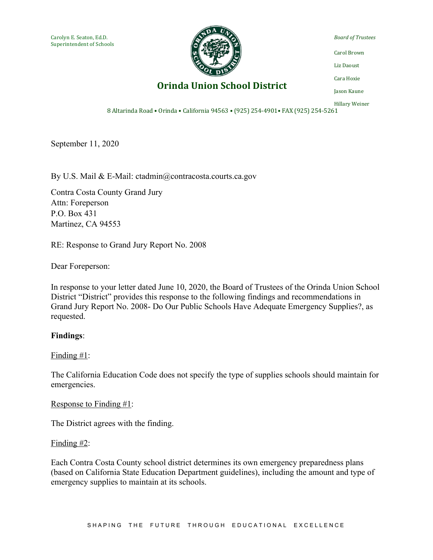

*Board of Trustees*

Carol Brown

Liz Daoust

Cara Hoxie

**Orinda Union School District** 

Jason Kaune Hillary Weiner

8 Altarinda Road • Orinda • California 94563 • (925) 254-4901 • FAX (925) 254-5261

September 11, 2020

By U.S. Mail & E-Mail: ctadmin@contracosta.courts.ca.gov

Contra Costa County Grand Jury Attn: Foreperson P.O. Box 431 Martinez, CA 94553

RE: Response to Grand Jury Report No. 2008

Dear Foreperson:

In response to your letter dated June 10, 2020, the Board of Trustees of the Orinda Union School District "District" provides this response to the following findings and recommendations in Grand Jury Report No. 2008- Do Our Public Schools Have Adequate Emergency Supplies?, as requested.

## **Findings**:

### Finding #1:

The California Education Code does not specify the type of supplies schools should maintain for emergencies.

Response to Finding #1:

The District agrees with the finding.

### Finding  $#2$ :

Each Contra Costa County school district determines its own emergency preparedness plans (based on California State Education Department guidelines), including the amount and type of emergency supplies to maintain at its schools.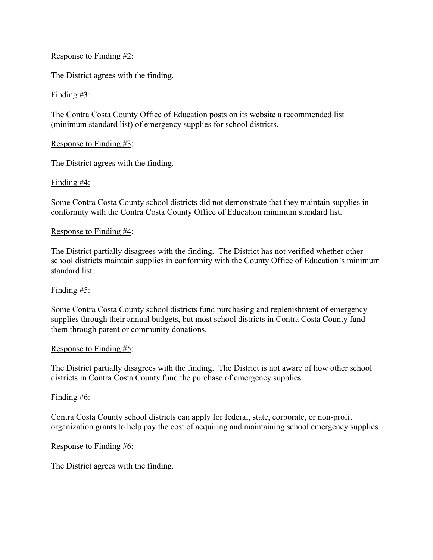# Response to Finding #2:

The District agrees with the finding.

## Finding #3:

The Contra Costa County Office of Education posts on its website a recommended list (minimum standard list) of emergency supplies for school districts.

## Response to Finding #3:

The District agrees with the finding.

## Finding #4:

Some Contra Costa County school districts did not demonstrate that they maintain supplies in conformity with the Contra Costa County Office of Education minimum standard list.

### Response to Finding #4:

The District partially disagrees with the finding. The District has not verified whether other school districts maintain supplies in conformity with the County Office of Education's minimum standard list.

## Finding #5:

Some Contra Costa County school districts fund purchasing and replenishment of emergency supplies through their annual budgets, but most school districts in Contra Costa County fund them through parent or community donations.

## Response to Finding #5:

The District partially disagrees with the finding. The District is not aware of how other school districts in Contra Costa County fund the purchase of emergency supplies.

### Finding #6:

Contra Costa County school districts can apply for federal, state, corporate, or non-profit organization grants to help pay the cost of acquiring and maintaining school emergency supplies.

### Response to Finding #6:

The District agrees with the finding.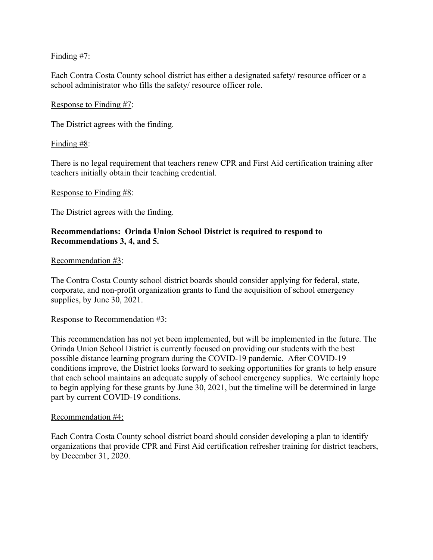# Finding #7:

Each Contra Costa County school district has either a designated safety/ resource officer or a school administrator who fills the safety/ resource officer role.

## Response to Finding #7:

The District agrees with the finding.

## Finding #8:

There is no legal requirement that teachers renew CPR and First Aid certification training after teachers initially obtain their teaching credential.

## Response to Finding #8:

The District agrees with the finding.

# **Recommendations: Orinda Union School District is required to respond to Recommendations 3, 4, and 5.**

## Recommendation #3:

The Contra Costa County school district boards should consider applying for federal, state, corporate, and non-profit organization grants to fund the acquisition of school emergency supplies, by June 30, 2021.

## Response to Recommendation #3:

This recommendation has not yet been implemented, but will be implemented in the future. The Orinda Union School District is currently focused on providing our students with the best possible distance learning program during the COVID-19 pandemic. After COVID-19 conditions improve, the District looks forward to seeking opportunities for grants to help ensure that each school maintains an adequate supply of school emergency supplies. We certainly hope to begin applying for these grants by June 30, 2021, but the timeline will be determined in large part by current COVID-19 conditions.

## Recommendation #4:

Each Contra Costa County school district board should consider developing a plan to identify organizations that provide CPR and First Aid certification refresher training for district teachers, by December 31, 2020.